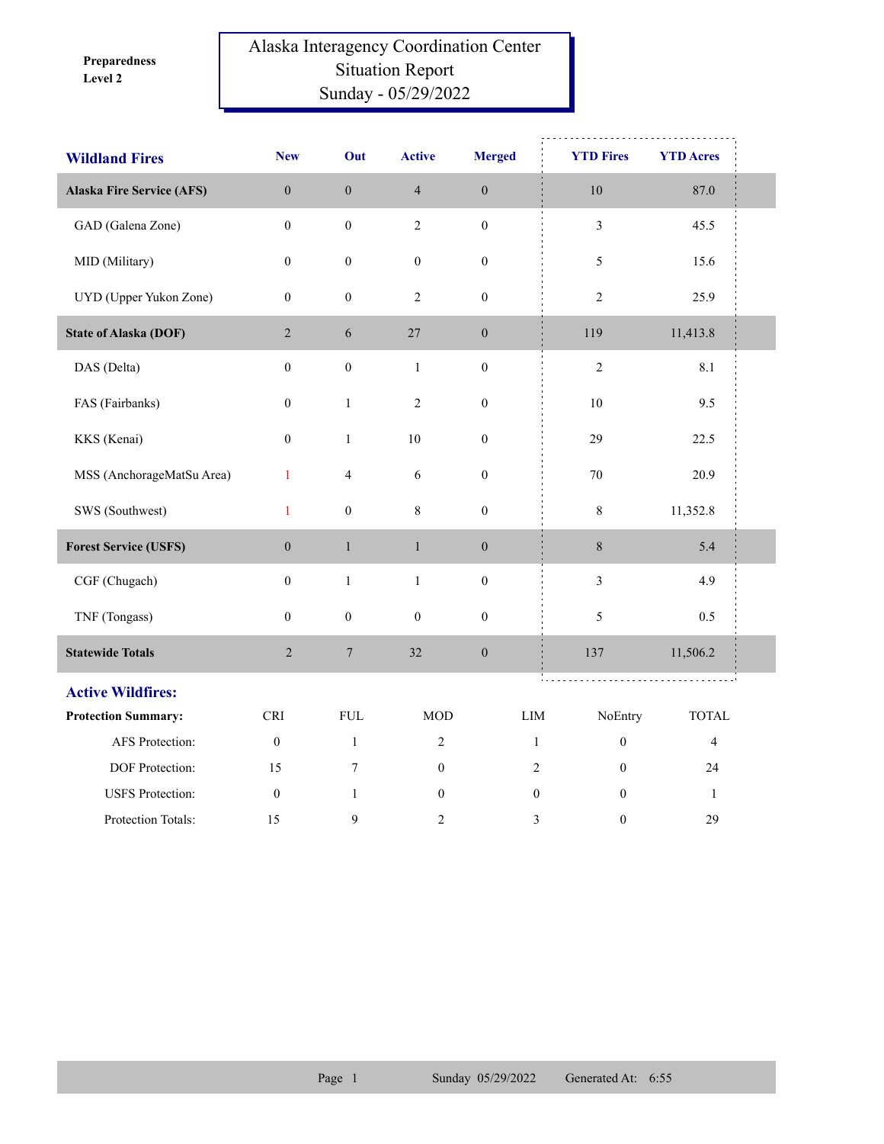**Level 2 Preparedness** 

## Alaska Interagency Coordination Center Situation Report Sunday - 05/29/2022

| <b>Wildland Fires</b>            | <b>New</b>       | Out                     | <b>Active</b>    | <b>Merged</b>    | <b>YTD Fires</b>                 | <b>YTD Acres</b> |  |
|----------------------------------|------------------|-------------------------|------------------|------------------|----------------------------------|------------------|--|
| <b>Alaska Fire Service (AFS)</b> | $\boldsymbol{0}$ | $\boldsymbol{0}$        | $\overline{4}$   | $\boldsymbol{0}$ | $10\,$                           | 87.0             |  |
| GAD (Galena Zone)                | $\boldsymbol{0}$ | $\boldsymbol{0}$        | $\overline{2}$   | $\boldsymbol{0}$ | $\overline{\mathbf{3}}$          | 45.5             |  |
| MID (Military)                   | $\boldsymbol{0}$ | $\boldsymbol{0}$        | $\boldsymbol{0}$ | $\boldsymbol{0}$ | 5                                | 15.6             |  |
| UYD (Upper Yukon Zone)           | $\boldsymbol{0}$ | $\boldsymbol{0}$        | $\overline{c}$   | $\boldsymbol{0}$ | $\sqrt{2}$                       | 25.9             |  |
| <b>State of Alaska (DOF)</b>     | $\sqrt{2}$       | 6                       | $27\,$           | $\boldsymbol{0}$ | 119                              | 11,413.8         |  |
| DAS (Delta)                      | $\mathbf{0}$     | $\boldsymbol{0}$        | $\mathbf{1}$     | $\boldsymbol{0}$ | $\sqrt{2}$                       | 8.1              |  |
| FAS (Fairbanks)                  | $\boldsymbol{0}$ | $\mathbf{1}$            | $\overline{c}$   | $\boldsymbol{0}$ | $10\,$                           | 9.5              |  |
| KKS (Kenai)                      | $\boldsymbol{0}$ | $\mathbf{1}$            | 10               | $\boldsymbol{0}$ | 29                               | 22.5             |  |
| MSS (AnchorageMatSu Area)        | $\mathbf{1}$     | $\overline{\mathbf{4}}$ | $\sqrt{6}$       | $\boldsymbol{0}$ | $70\,$                           | 20.9             |  |
| SWS (Southwest)                  | $\mathbf{1}$     | $\boldsymbol{0}$        | $\,8\,$          | $\boldsymbol{0}$ | 8                                | 11,352.8         |  |
| <b>Forest Service (USFS)</b>     | $\boldsymbol{0}$ | $\mathbf{1}$            | $\mathbf{1}$     | $\boldsymbol{0}$ | $8\,$                            | 5.4              |  |
| CGF (Chugach)                    | $\boldsymbol{0}$ | $\,1\,$                 | $\,1\,$          | $\boldsymbol{0}$ | $\mathfrak{Z}$                   | 4.9              |  |
| TNF (Tongass)                    | $\boldsymbol{0}$ | $\boldsymbol{0}$        | $\boldsymbol{0}$ | $\boldsymbol{0}$ | 5                                | 0.5              |  |
| <b>Statewide Totals</b>          | $\sqrt{2}$       | $\boldsymbol{7}$        | 32               | $\boldsymbol{0}$ | 137                              | 11,506.2         |  |
| <b>Active Wildfires:</b>         |                  |                         |                  |                  |                                  |                  |  |
| <b>Protection Summary:</b>       | <b>CRI</b>       | <b>FUL</b>              | <b>MOD</b>       |                  | LIM<br>NoEntry                   | <b>TOTAL</b>     |  |
| AFS Protection:                  | $\mathbf{0}$     | $\mathbf{1}$            | $\overline{c}$   |                  | $\boldsymbol{0}$<br>$\mathbf{1}$ | $\overline{4}$   |  |
| DOF Protection:                  | 15               | $\tau$                  | $\boldsymbol{0}$ |                  | $\mathfrak{2}$<br>$\mathbf{0}$   | 24               |  |
| <b>USFS</b> Protection:          | $\boldsymbol{0}$ | $\mathbf{1}$            | $\boldsymbol{0}$ |                  | $\boldsymbol{0}$<br>$\mathbf{0}$ | $\mathbf{1}$     |  |
| Protection Totals:               | 15               | 9                       | $\overline{2}$   |                  | 3<br>$\boldsymbol{0}$            | 29               |  |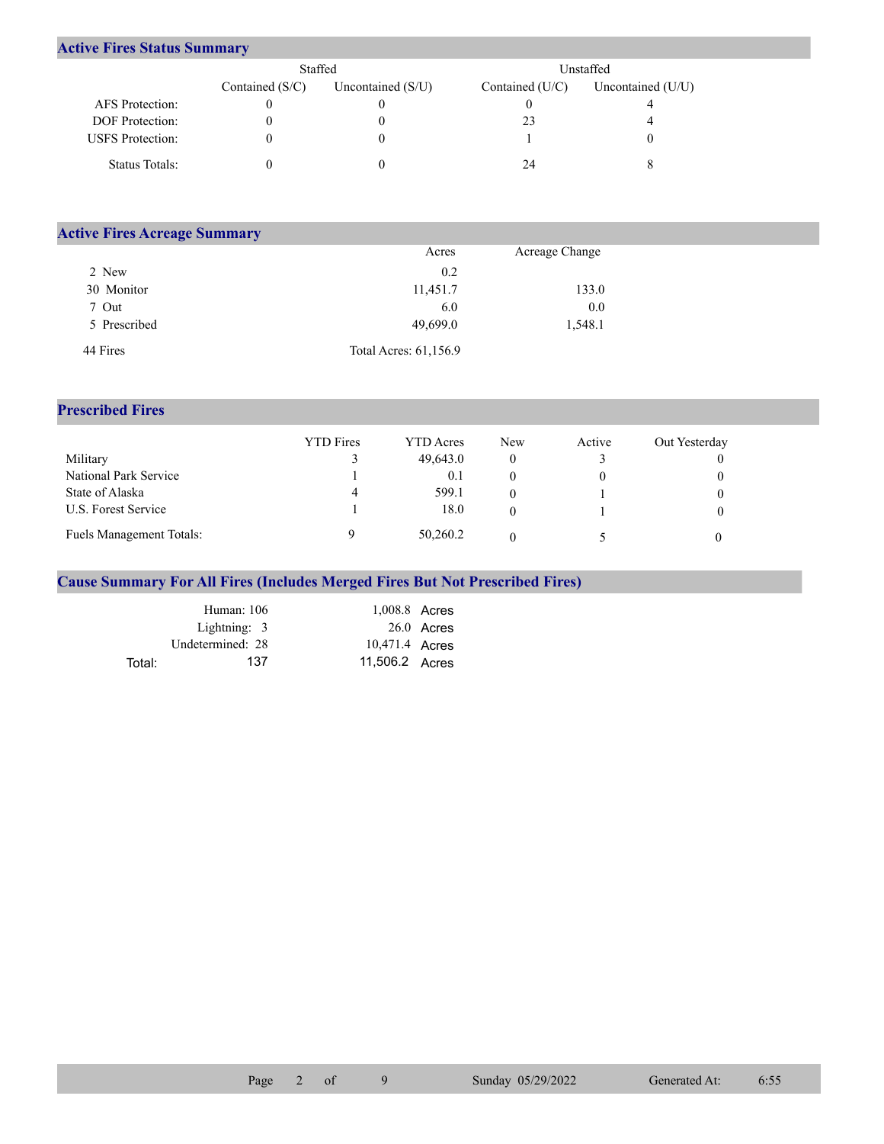## **Active Fires Status Summary**

|                         | Staffed           |                     | Unstaffed         |                   |  |
|-------------------------|-------------------|---------------------|-------------------|-------------------|--|
|                         | Contained $(S/C)$ | Uncontained $(S/U)$ | Contained $(U/C)$ | Uncontained (U/U) |  |
| AFS Protection:         |                   |                     |                   |                   |  |
| <b>DOF</b> Protection:  |                   |                     | 23                |                   |  |
| <b>USFS</b> Protection: |                   |                     |                   |                   |  |
| Status Totals:          |                   |                     | 24                |                   |  |

| <b>Active Fires Acreage Summary</b> |                       |                |  |  |  |  |  |
|-------------------------------------|-----------------------|----------------|--|--|--|--|--|
|                                     | Acres                 | Acreage Change |  |  |  |  |  |
| 2 New                               | 0.2                   |                |  |  |  |  |  |
| 30 Monitor                          | 11,451.7              | 133.0          |  |  |  |  |  |
| 7 Out                               | 6.0                   | 0.0            |  |  |  |  |  |
| 5 Prescribed                        | 49,699.0              | 1,548.1        |  |  |  |  |  |
| 44 Fires                            | Total Acres: 61,156.9 |                |  |  |  |  |  |

## **Prescribed Fires**

|                          | <b>YTD</b> Fires | <b>YTD</b> Acres | <b>New</b> | Active | Out Yesterday |
|--------------------------|------------------|------------------|------------|--------|---------------|
| Military                 |                  | 49,643.0         |            |        |               |
| National Park Service    |                  | 0.1              |            |        |               |
| State of Alaska          | 4                | 599.1            |            |        |               |
| U.S. Forest Service      |                  | 18.0             |            |        |               |
| Fuels Management Totals: |                  | 50,260.2         |            |        |               |

## **Cause Summary For All Fires (Includes Merged Fires But Not Prescribed Fires)**

|        | Human: 106       | 1,008.8 Acres  |              |
|--------|------------------|----------------|--------------|
|        | Lightning: 3     |                | $26.0$ Acres |
|        | Undetermined: 28 | 10,471.4 Acres |              |
| Total: | 137              | 11,506.2 Acres |              |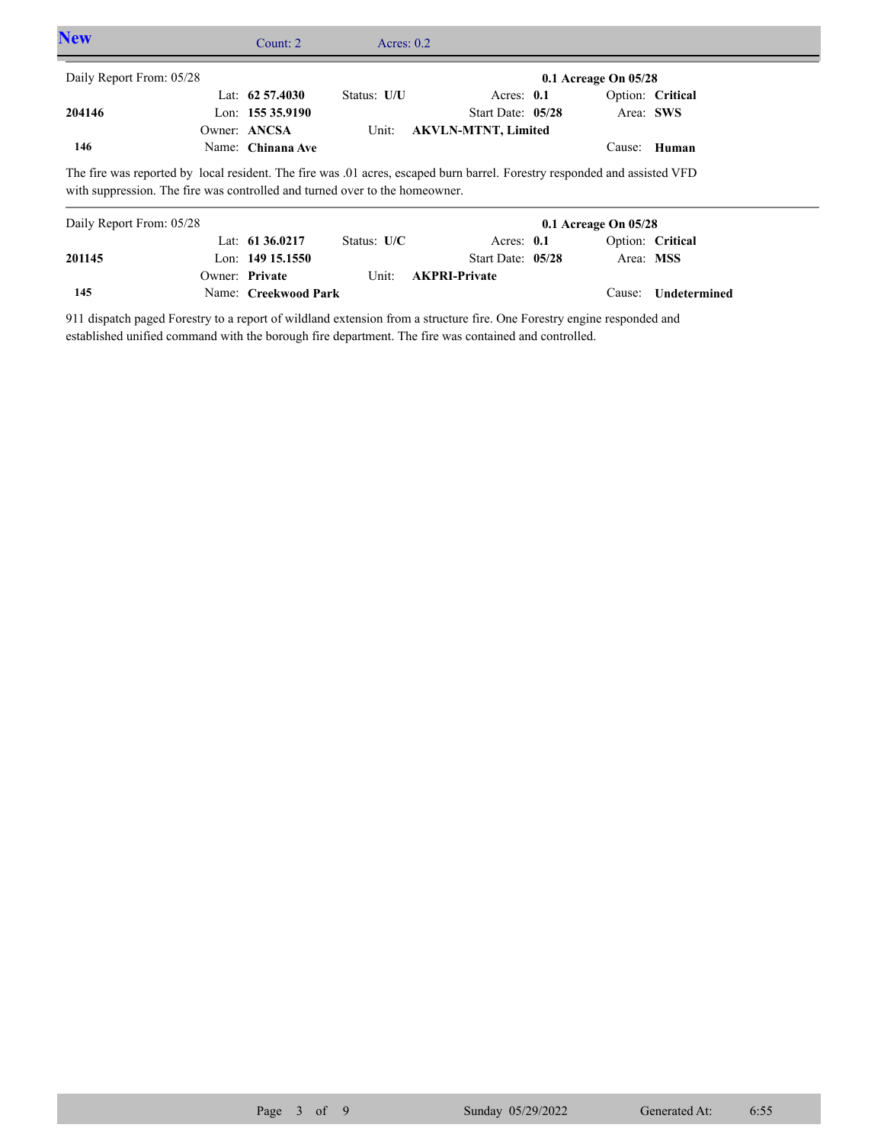| <b>New</b>               | Count: $2 \overline{ }$                                                                                                                                                                                   | Acres: $0.2$ |                            |                          |                  |  |
|--------------------------|-----------------------------------------------------------------------------------------------------------------------------------------------------------------------------------------------------------|--------------|----------------------------|--------------------------|------------------|--|
| Daily Report From: 05/28 |                                                                                                                                                                                                           |              |                            | $0.1$ Acreage On $05/28$ |                  |  |
|                          | Lat: $62\,57.4030$                                                                                                                                                                                        | Status: U/U  | Acres: $0.1$               |                          | Option: Critical |  |
| 204146                   | Lon: $15535.9190$                                                                                                                                                                                         |              | Start Date: 05/28          | Area: SWS                |                  |  |
|                          | Owner: ANCSA                                                                                                                                                                                              | Unit:        | <b>AKVLN-MTNT, Limited</b> |                          |                  |  |
| 146                      | Name: Chinana Ave                                                                                                                                                                                         |              |                            |                          | Cause: Human     |  |
| Daily Report From: 05/28 | The fire was reported by local resident. The fire was 0.01 acres, escaped burn barrel. Forestry responded and assisted VFD<br>with suppression. The fire was controlled and turned over to the homeowner. |              |                            | $0.1$ Acreage On $05/28$ |                  |  |
|                          | Lat: $6136.0217$                                                                                                                                                                                          | Status: U/C  | Acres: $0.1$               |                          | Option: Critical |  |
| 201145                   | Lon: $149$ 15.1550                                                                                                                                                                                        |              | Start Date: 05/28          | Area: MSS                |                  |  |
|                          | Owner: Private                                                                                                                                                                                            | Unit:        | <b>AKPRI-Private</b>       |                          |                  |  |

911 dispatch paged Forestry to a report of wildland extension from a structure fire. One Forestry engine responded and established unified command with the borough fire department. The fire was contained and controlled.

Name: **Creekwood Park**

**145**

Cause: **Undetermined**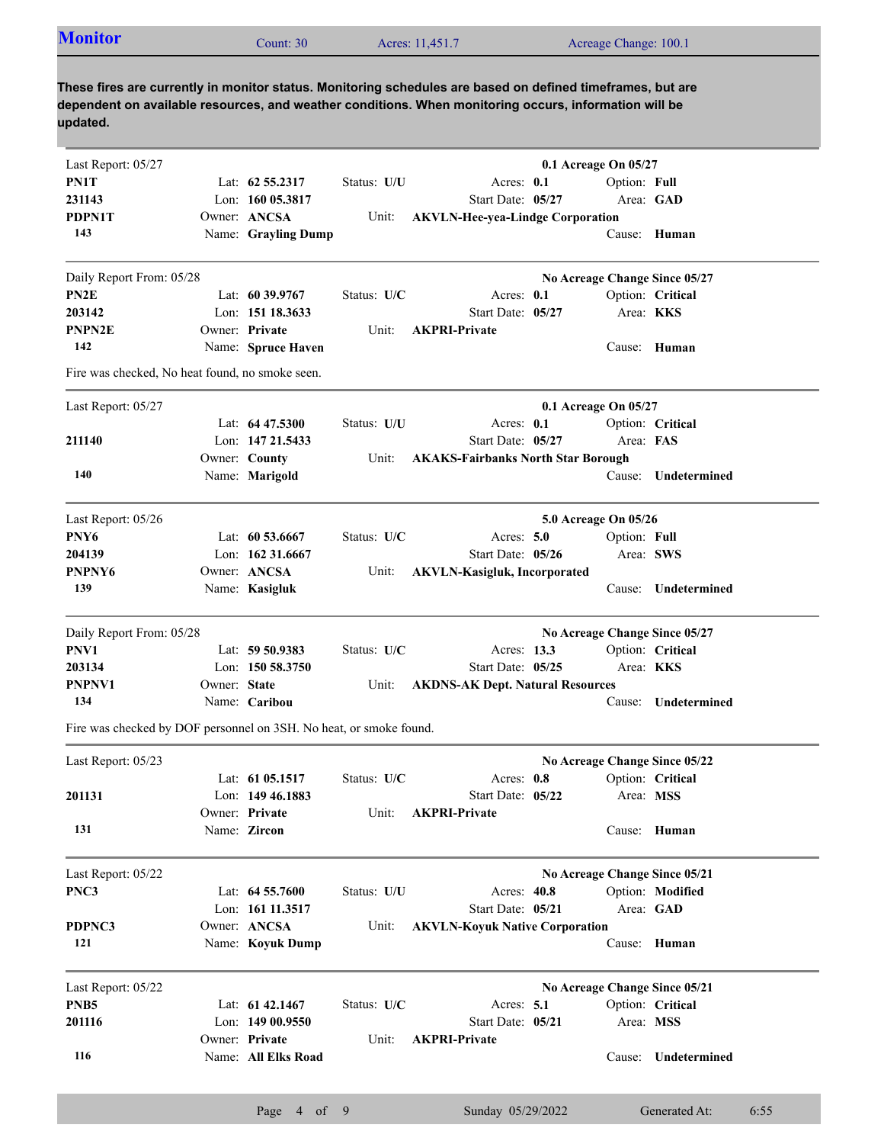| <b>Monitor</b>                               | Count: $30$         |             | Acres: 11,451.7                                                                                                                                                                                                     | Acreage Change: 100.1         |                  |
|----------------------------------------------|---------------------|-------------|---------------------------------------------------------------------------------------------------------------------------------------------------------------------------------------------------------------------|-------------------------------|------------------|
| updated.                                     |                     |             | These fires are currently in monitor status. Monitoring schedules are based on defined timeframes, but are<br>dependent on available resources, and weather conditions. When monitoring occurs, information will be |                               |                  |
| Last Report: 05/27                           |                     |             |                                                                                                                                                                                                                     | 0.1 Acreage On 05/27          |                  |
| PN1T                                         | Lat: $62,55,2317$   | Status: U/U | Acres: 0.1                                                                                                                                                                                                          | Option: Full                  |                  |
| 231143                                       | Lon: $16005.3817$   |             | Start Date: 05/27                                                                                                                                                                                                   |                               | Area: GAD        |
| PDPN1T                                       | Owner: ANCSA        | Unit:       | <b>AKVLN-Hee-yea-Lindge Corporation</b>                                                                                                                                                                             |                               |                  |
| 143                                          | Name: Grayling Dump |             |                                                                                                                                                                                                                     |                               | Cause: Human     |
| Daily Report From: 05/28                     |                     |             |                                                                                                                                                                                                                     | No Acreage Change Since 05/27 |                  |
|                                              | Lat: $60\,39.9767$  | Status: U/C | Acres: $0.1$                                                                                                                                                                                                        |                               | Option: Critical |
|                                              |                     |             |                                                                                                                                                                                                                     |                               |                  |
|                                              | Lon: 151 18.3633    |             | Start Date: 05/27                                                                                                                                                                                                   |                               | Area: KKS        |
| PN <sub>2</sub> E<br>203142<br><b>PNPN2E</b> | Owner: Private      | Unit:       | <b>AKPRI-Private</b>                                                                                                                                                                                                |                               |                  |

Fire was checked, No heat found, no smoke seen.

| Last Report: 05/27 |                    |             |                                           | 0.1 Acreage On $05/27$ |                     |
|--------------------|--------------------|-------------|-------------------------------------------|------------------------|---------------------|
|                    | Lat: $64\,47.5300$ | Status: U/U | Acres: $0.1$                              |                        | Option: Critical    |
| 211140             | Lon: 147 21.5433   |             | Start Date: 05/27                         | Area: FAS              |                     |
|                    | Owner: County      | Unit:       | <b>AKAKS-Fairbanks North Star Borough</b> |                        |                     |
| 140                | Name: Marigold     |             |                                           |                        | Cause: Undetermined |
|                    |                    |             |                                           |                        |                     |

| Last Report: $05/26$ |                    |               |                              | <b>5.0 Acreage On 05/26</b> |              |
|----------------------|--------------------|---------------|------------------------------|-----------------------------|--------------|
| PNY <sub>6</sub>     | Lat: $60\,53.6667$ | Status: $U/C$ | Acres: $5.0$                 | Option: Full                |              |
| 204139               | Lon: $16231.6667$  |               | Start Date: $05/26$          | Area: SWS                   |              |
| PNPNY <sub>6</sub>   | Owner: ANCSA       | Unit:         | AKVLN-Kasigluk, Incorporated |                             |              |
| 139                  | Name: Kasigluk     |               |                              | Cause: \                    | Undetermined |

| Daily Report From: 05/28 |              |                    |               |                                         | No Acreage Change Since 05/27 |                  |
|--------------------------|--------------|--------------------|---------------|-----------------------------------------|-------------------------------|------------------|
| PNV1                     |              | Lat: $59\,50.9383$ | Status: $U/C$ | Acres: 13.3                             |                               | Option: Critical |
| 203134                   |              | Lon: $150,58.3750$ |               | Start Date: $05/25$                     | Area: <b>KKS</b>              |                  |
| PNPNV1                   | Owner: State |                    | Unit:         | <b>AKDNS-AK Dept. Natural Resources</b> |                               |                  |
| 134                      |              | Name: Caribou      |               |                                         | Cause:                        | Undetermined     |

Fire was checked by DOF personnel on 3SH. No heat, or smoke found.

| Last Report: 05/23 |                     |             |                                       | No Acreage Change Since 05/22 |                  |
|--------------------|---------------------|-------------|---------------------------------------|-------------------------------|------------------|
|                    | Lat: $61\,05.1517$  | Status: U/C | Acres: 0.8                            |                               | Option: Critical |
| 201131             | Lon: $149\,46.1883$ |             | Start Date: $05/22$                   | Area: MSS                     |                  |
|                    | Owner: Private      | Unit:       | <b>AKPRI-Private</b>                  |                               |                  |
| 131                | Name: Zircon        |             |                                       |                               | Cause: Human     |
| Last Report: 05/22 |                     |             |                                       | No Acreage Change Since 05/21 |                  |
| PNC3               | Lat: $64\,55.7600$  | Status: U/U | Acres: 40.8                           |                               | Option: Modified |
|                    | Lon: 161 11.3517    |             | Start Date: 05/21                     |                               | Area: GAD        |
| PDPNC3             | Owner: ANCSA        | Unit:       | <b>AKVLN-Koyuk Native Corporation</b> |                               |                  |
| 121                | Name: Koyuk Dump    |             |                                       | Cause:                        | Human            |
| Last Report: 05/22 |                     |             |                                       | No Acreage Change Since 05/21 |                  |
| PNB <sub>5</sub>   | Lat: $61\,42.1467$  | Status: U/C | Acres: $5.1$                          |                               | Option: Critical |
| 201116             | Lon: $14900.9550$   |             | Start Date: 05/21                     | Area: MSS                     |                  |
|                    | Owner: Private      | Unit:       | <b>AKPRI-Private</b>                  |                               |                  |
| 116                | Name: All Elks Road |             |                                       | Cause:                        | Undetermined     |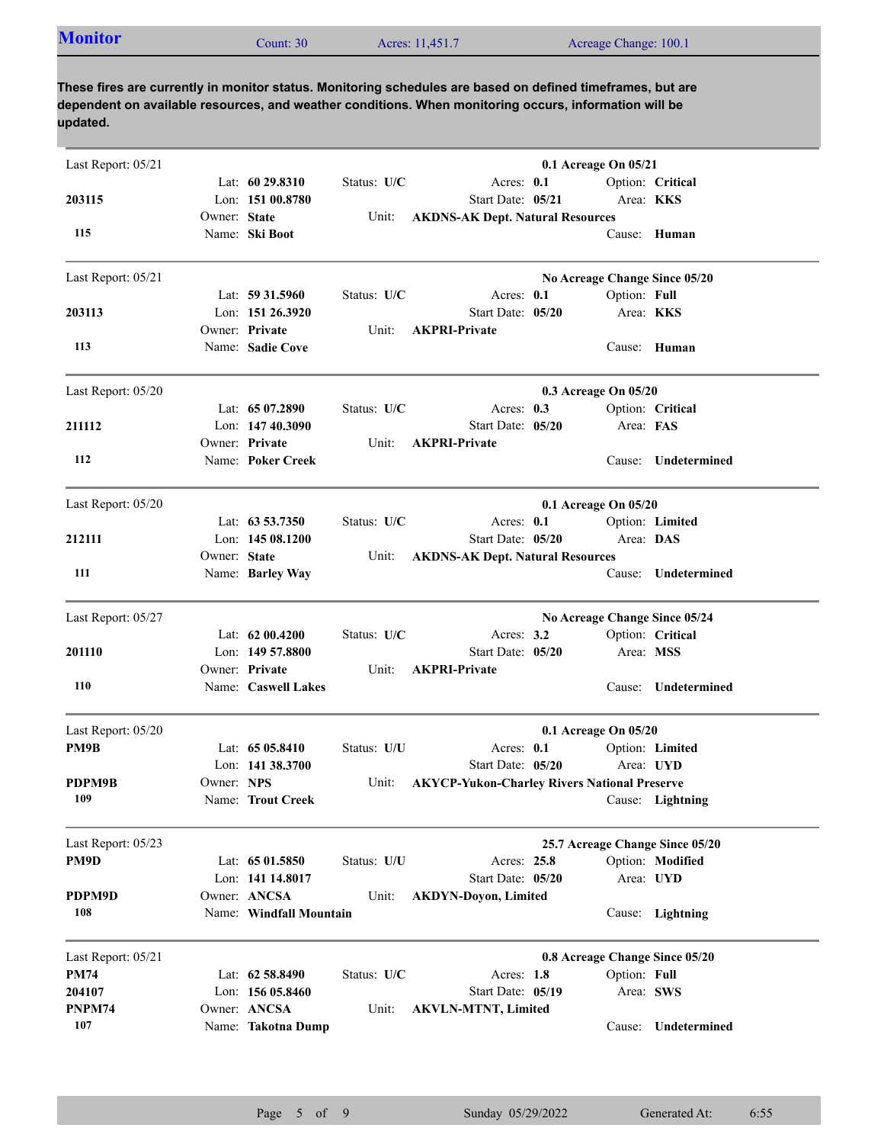| <b>Monitor</b> | Count: $30°$ | Acres: 11,451.7 | Acreage Change: 100.1 |
|----------------|--------------|-----------------|-----------------------|
|                |              |                 |                       |

**These fires are currently in monitor status. Monitoring schedules are based on defined timeframes, but are dependent on available resources, and weather conditions. When monitoring occurs, information will be updated.**

| Last Report: 05/21 |              |                         |             |                                                     | 0.1 Acreage On 05/21 |              |                                 |
|--------------------|--------------|-------------------------|-------------|-----------------------------------------------------|----------------------|--------------|---------------------------------|
|                    |              | Lat: $6029.8310$        | Status: U/C | Acres: 0.1                                          |                      |              | Option: Critical                |
| 203115             |              | Lon: 151 00.8780        |             | Start Date: 05/21                                   |                      | Area: KKS    |                                 |
| 115                | Owner: State | Name: Ski Boot          | Unit:       | <b>AKDNS-AK Dept. Natural Resources</b>             |                      |              | Cause: Human                    |
|                    |              |                         |             |                                                     |                      |              |                                 |
| Last Report: 05/21 |              |                         |             |                                                     |                      |              | No Acreage Change Since 05/20   |
|                    |              | Lat: $59\,31.5960$      | Status: U/C | Acres: 0.1                                          |                      | Option: Full |                                 |
| 203113             |              | Lon: 151 26.3920        |             | Start Date: 05/20                                   |                      | Area: KKS    |                                 |
|                    |              | Owner: Private          | Unit:       | <b>AKPRI-Private</b>                                |                      |              |                                 |
| 113                |              | Name: Sadie Cove        |             |                                                     |                      |              | Cause: Human                    |
| Last Report: 05/20 |              |                         |             |                                                     | 0.3 Acreage On 05/20 |              |                                 |
|                    |              | Lat: $6507.2890$        | Status: U/C | Acres: $0.3$                                        |                      |              | Option: Critical                |
| 211112             |              | Lon: $14740.3090$       |             | Start Date: 05/20                                   |                      | Area: FAS    |                                 |
|                    |              | Owner: Private          | Unit:       | <b>AKPRI-Private</b>                                |                      |              |                                 |
| 112                |              | Name: Poker Creek       |             |                                                     |                      |              | Cause: Undetermined             |
| Last Report: 05/20 |              |                         |             |                                                     | 0.1 Acreage On 05/20 |              |                                 |
|                    |              | Lat: $63\,53.7350$      | Status: U/C | Acres: 0.1                                          |                      |              | Option: Limited                 |
| 212111             |              | Lon: $14508.1200$       |             | Start Date: 05/20                                   |                      | Area: DAS    |                                 |
|                    | Owner: State |                         | Unit:       | <b>AKDNS-AK Dept. Natural Resources</b>             |                      |              |                                 |
| 111                |              | Name: Barley Way        |             |                                                     |                      |              | Cause: Undetermined             |
| Last Report: 05/27 |              |                         |             |                                                     |                      |              | No Acreage Change Since 05/24   |
|                    |              | Lat: 62 00.4200         | Status: U/C | Acres: $3.2$                                        |                      |              | Option: Critical                |
| 201110             |              | Lon: 149 57.8800        |             | Start Date: 05/20                                   |                      | Area: MSS    |                                 |
|                    |              | Owner: Private          | Unit:       | <b>AKPRI-Private</b>                                |                      |              |                                 |
| 110                |              | Name: Caswell Lakes     |             |                                                     |                      | Cause:       | Undetermined                    |
| Last Report: 05/20 |              |                         |             |                                                     | 0.1 Acreage On 05/20 |              |                                 |
| PM9B               |              | Lat: $6505.8410$        | Status: U/U | Acres: 0.1                                          |                      |              | Option: Limited                 |
|                    |              | Lon: $141\,38.3700$     |             | Start Date: 05/20                                   |                      | Area: UYD    |                                 |
| PDPM9B             | Owner: NPS   |                         | Unit:       | <b>AKYCP-Yukon-Charley Rivers National Preserve</b> |                      |              |                                 |
| 109                |              | Name: Trout Creek       |             |                                                     |                      |              | Cause: Lightning                |
| Last Report: 05/23 |              |                         |             |                                                     |                      |              | 25.7 Acreage Change Since 05/20 |
| PM9D               |              | Lat: 65 01.5850         | Status: U/U | Acres: 25.8                                         |                      |              | Option: Modified                |
|                    |              | Lon: 141 14.8017        |             | Start Date: 05/20                                   |                      |              | Area: UYD                       |
| PDPM9D             |              | Owner: ANCSA            | Unit:       | <b>AKDYN-Doyon, Limited</b>                         |                      |              |                                 |
| 108                |              | Name: Windfall Mountain |             |                                                     |                      |              | Cause: Lightning                |
| Last Report: 05/21 |              |                         |             |                                                     |                      |              | 0.8 Acreage Change Since 05/20  |
| <b>PM74</b>        |              | Lat: 62 58.8490         | Status: U/C | Acres: 1.8                                          |                      | Option: Full |                                 |
| 204107             |              | Lon: $15605.8460$       |             | Start Date: 05/19                                   |                      | Area: SWS    |                                 |
| PNPM74             |              | Owner: ANCSA            | Unit:       | <b>AKVLN-MTNT, Limited</b>                          |                      |              |                                 |
| 107                |              | Name: Takotna Dump      |             |                                                     |                      | Cause:       | Undetermined                    |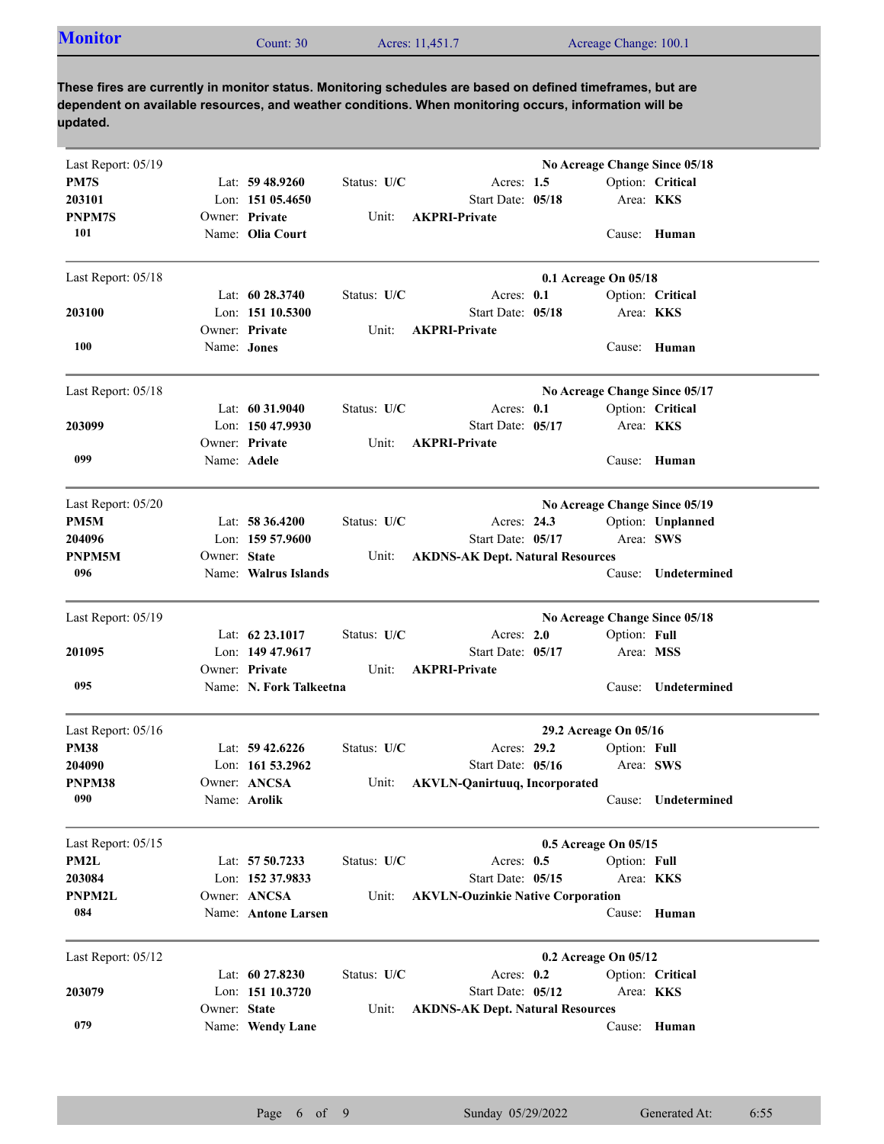| <b>Monitor</b><br>Acreage Change: 100.1<br>Acres: 11,451.7<br>Count: 30 |
|-------------------------------------------------------------------------|
|-------------------------------------------------------------------------|

**These fires are currently in monitor status. Monitoring schedules are based on defined timeframes, but are dependent on available resources, and weather conditions. When monitoring occurs, information will be updated.**

| Last Report: 05/19 |              |                         |             |                                          |                               |                  | No Acreage Change Since 05/18 |
|--------------------|--------------|-------------------------|-------------|------------------------------------------|-------------------------------|------------------|-------------------------------|
| PM7S               |              | Lat: $59\,48.9260$      | Status: U/C | Acres: $1.5$                             |                               |                  | Option: Critical              |
| 203101             |              | Lon: $15105.4650$       |             | Start Date: 05/18                        |                               | Area: KKS        |                               |
| PNPM7S             |              | Owner: Private          | Unit:       | <b>AKPRI-Private</b>                     |                               |                  |                               |
| 101                |              | Name: Olia Court        |             |                                          |                               |                  | Cause: Human                  |
| Last Report: 05/18 |              |                         |             |                                          | 0.1 Acreage On 05/18          |                  |                               |
|                    |              | Lat: $60\,28.3740$      | Status: U/C | Acres: 0.1                               |                               |                  | Option: Critical              |
| 203100             |              | Lon: 151 10.5300        |             | Start Date: 05/18                        |                               | Area: KKS        |                               |
|                    |              | Owner: Private          | Unit:       | <b>AKPRI-Private</b>                     |                               |                  |                               |
| 100                | Name: Jones  |                         |             |                                          |                               |                  | Cause: Human                  |
| Last Report: 05/18 |              |                         |             |                                          | No Acreage Change Since 05/17 |                  |                               |
|                    |              | Lat: 60 31.9040         | Status: U/C | Acres: 0.1                               |                               |                  | Option: Critical              |
| 203099             |              | Lon: 150 47.9930        |             | Start Date: 05/17                        |                               | Area: <b>KKS</b> |                               |
|                    |              | Owner: Private          | Unit:       | <b>AKPRI-Private</b>                     |                               |                  |                               |
| 099                | Name: Adele  |                         |             |                                          |                               |                  | Cause: Human                  |
| Last Report: 05/20 |              |                         |             |                                          |                               |                  | No Acreage Change Since 05/19 |
| PM5M               |              | Lat: $58\,36.4200$      | Status: U/C | Acres: 24.3                              |                               |                  | Option: Unplanned             |
| 204096             |              | Lon: $15957.9600$       |             | Start Date: 05/17                        |                               | Area: SWS        |                               |
| PNPM5M             | Owner: State |                         | Unit:       | <b>AKDNS-AK Dept. Natural Resources</b>  |                               |                  |                               |
| 096                |              | Name: Walrus Islands    |             |                                          |                               | Cause:           | Undetermined                  |
| Last Report: 05/19 |              |                         |             |                                          |                               |                  | No Acreage Change Since 05/18 |
|                    |              | Lat: 62 23.1017         | Status: U/C | Acres: $2.0$                             |                               | Option: Full     |                               |
| 201095             |              | Lon: $14947.9617$       |             | Start Date: 05/17                        |                               | Area: MSS        |                               |
|                    |              | Owner: Private          | Unit:       | <b>AKPRI-Private</b>                     |                               |                  |                               |
| 095                |              | Name: N. Fork Talkeetna |             |                                          |                               | Cause:           | Undetermined                  |
| Last Report: 05/16 |              |                         |             |                                          | 29.2 Acreage On 05/16         |                  |                               |
| <b>PM38</b>        |              | Lat: $59\,42.6226$      | Status: U/C | Acres: 29.2                              |                               | Option: Full     |                               |
| 204090             |              | Lon: $16153.2962$       |             | Start Date: 05/16                        |                               | Area: SWS        |                               |
| PNPM38             |              | Owner: ANCSA            | Unit:       | <b>AKVLN-Qanirtuuq, Incorporated</b>     |                               |                  |                               |
| 090                |              | Name: Arolik            |             |                                          |                               |                  | Cause: Undetermined           |
| Last Report: 05/15 |              |                         |             |                                          | 0.5 Acreage On 05/15          |                  |                               |
| PM2L               |              | Lat: 57 50.7233         | Status: U/C | Acres: $0.5$                             |                               | Option: Full     |                               |
| 203084             |              | Lon: 152 37.9833        |             | Start Date: 05/15                        |                               | Area: KKS        |                               |
| PNPM2L             |              | Owner: ANCSA            | Unit:       | <b>AKVLN-Ouzinkie Native Corporation</b> |                               |                  |                               |
| 084                |              | Name: Antone Larsen     |             |                                          |                               |                  | Cause: Human                  |
| Last Report: 05/12 |              |                         |             |                                          | 0.2 Acreage On 05/12          |                  |                               |
|                    |              | Lat: 60 27.8230         | Status: U/C | Acres: $0.2$                             |                               |                  | Option: Critical              |
| 203079             |              | Lon: 151 10.3720        |             | Start Date: 05/12                        |                               | Area: KKS        |                               |
|                    | Owner: State |                         | Unit:       | <b>AKDNS-AK Dept. Natural Resources</b>  |                               |                  |                               |
| 079                |              | Name: Wendy Lane        |             |                                          |                               |                  | Cause: Human                  |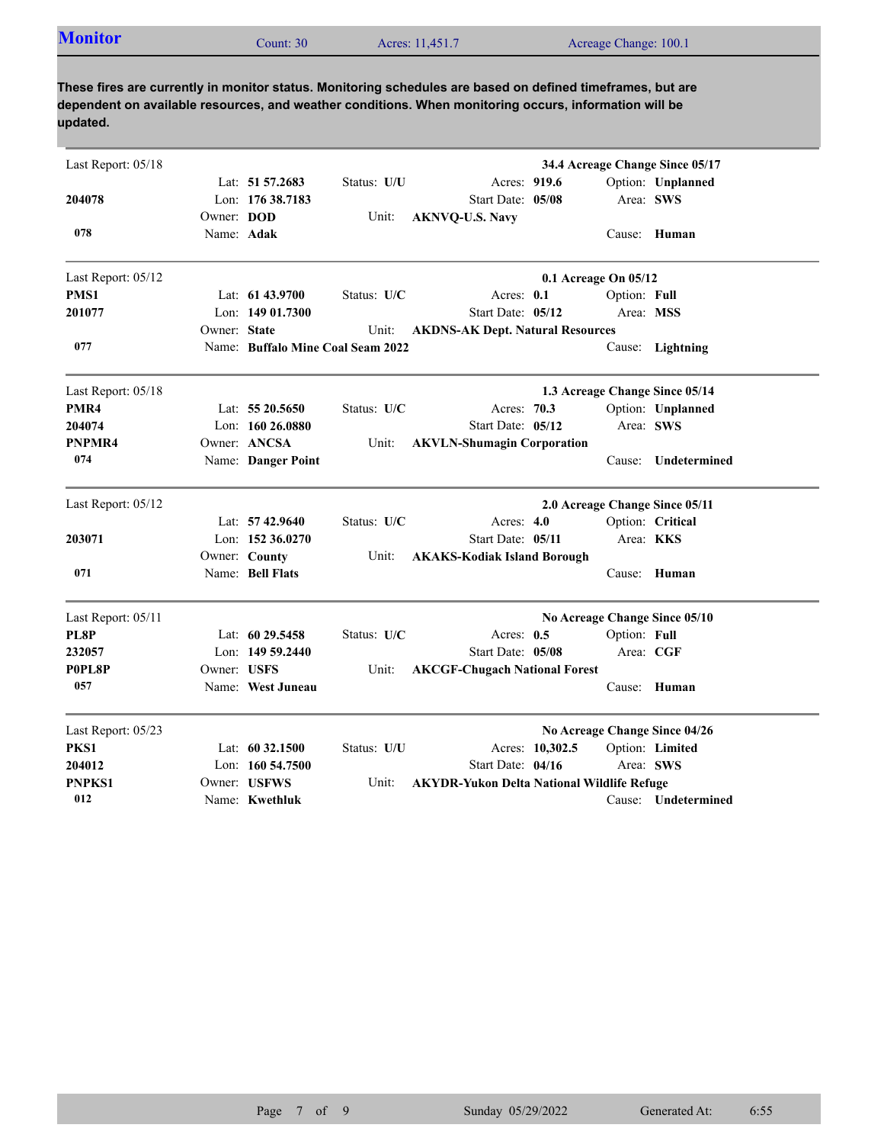| <b>Monitor</b> | Count: 30 | Acres: 11,451.7 | Acreage Change: 100.1 |
|----------------|-----------|-----------------|-----------------------|

**These fires are currently in monitor status. Monitoring schedules are based on defined timeframes, but are dependent on available resources, and weather conditions. When monitoring occurs, information will be updated.**

| Last Report: 05/18 |              |                                   |             |                                                   |                 |                                | 34.4 Acreage Change Since 05/17 |
|--------------------|--------------|-----------------------------------|-------------|---------------------------------------------------|-----------------|--------------------------------|---------------------------------|
|                    |              | Lat: $51\,57.2683$                | Status: U/U | Acres: 919.6                                      |                 |                                | Option: Unplanned               |
| 204078             |              | Lon: 176 38.7183                  |             | Start Date: 05/08                                 |                 | Area: SWS                      |                                 |
|                    | Owner: DOD   |                                   | Unit:       | <b>AKNVQ-U.S. Navy</b>                            |                 |                                |                                 |
| 078                | Name: Adak   |                                   |             |                                                   |                 |                                | Cause: Human                    |
| Last Report: 05/12 |              |                                   |             |                                                   |                 | 0.1 Acreage On 05/12           |                                 |
| PMS1               |              | Lat: 61 43.9700                   | Status: U/C | Acres: 0.1                                        |                 | Option: Full                   |                                 |
| 201077             |              | Lon: 149 01.7300                  |             | Start Date: 05/12                                 |                 |                                | Area: MSS                       |
|                    | Owner: State |                                   | Unit:       | <b>AKDNS-AK Dept. Natural Resources</b>           |                 |                                |                                 |
| 077                |              | Name: Buffalo Mine Coal Seam 2022 |             |                                                   |                 | Cause:                         | Lightning                       |
| Last Report: 05/18 |              |                                   |             |                                                   |                 |                                | 1.3 Acreage Change Since 05/14  |
| PMR4               |              | Lat: $5520.5650$                  | Status: U/C | Acres: 70.3                                       |                 |                                | Option: Unplanned               |
| 204074             |              | Lon: $16026.0880$                 |             | Start Date: 05/12                                 |                 |                                | Area: SWS                       |
| PNPMR4             |              | Owner: ANCSA                      | Unit:       | <b>AKVLN-Shumagin Corporation</b>                 |                 |                                |                                 |
| 074                |              | Name: Danger Point                |             |                                                   |                 | Cause:                         | Undetermined                    |
| Last Report: 05/12 |              |                                   |             |                                                   |                 | 2.0 Acreage Change Since 05/11 |                                 |
|                    |              | Lat: 57 42.9640                   | Status: U/C | Acres: 4.0                                        |                 |                                | Option: Critical                |
| 203071             |              | Lon: $152,36.0270$                |             | Start Date: 05/11                                 |                 |                                | Area: KKS                       |
|                    |              | Owner: County                     | Unit:       | <b>AKAKS-Kodiak Island Borough</b>                |                 |                                |                                 |
| 071                |              | Name: Bell Flats                  |             |                                                   |                 |                                | Cause: Human                    |
| Last Report: 05/11 |              |                                   |             |                                                   |                 |                                | No Acreage Change Since 05/10   |
| PL8P               |              | Lat: 60 29.5458                   | Status: U/C | Acres: 0.5                                        |                 | Option: Full                   |                                 |
| 232057             |              | Lon: 149 59.2440                  |             | Start Date: 05/08                                 |                 |                                | Area: CGF                       |
| P0PL8P             | Owner: USFS  |                                   | Unit:       | <b>AKCGF-Chugach National Forest</b>              |                 |                                |                                 |
| 057                |              | Name: West Juneau                 |             |                                                   |                 |                                | Cause: Human                    |
| Last Report: 05/23 |              |                                   |             |                                                   |                 |                                | No Acreage Change Since 04/26   |
| PKS1               |              | Lat: $60\,32.1500$                | Status: U/U |                                                   | Acres: 10,302.5 |                                | Option: Limited                 |
| 204012             |              | Lon: 160 54.7500                  |             | Start Date: 04/16                                 |                 |                                | Area: SWS                       |
| <b>PNPKS1</b>      |              | Owner: USFWS                      | Unit:       | <b>AKYDR-Yukon Delta National Wildlife Refuge</b> |                 |                                |                                 |
| 012                |              | Name: Kwethluk                    |             |                                                   |                 |                                | Cause: Undetermined             |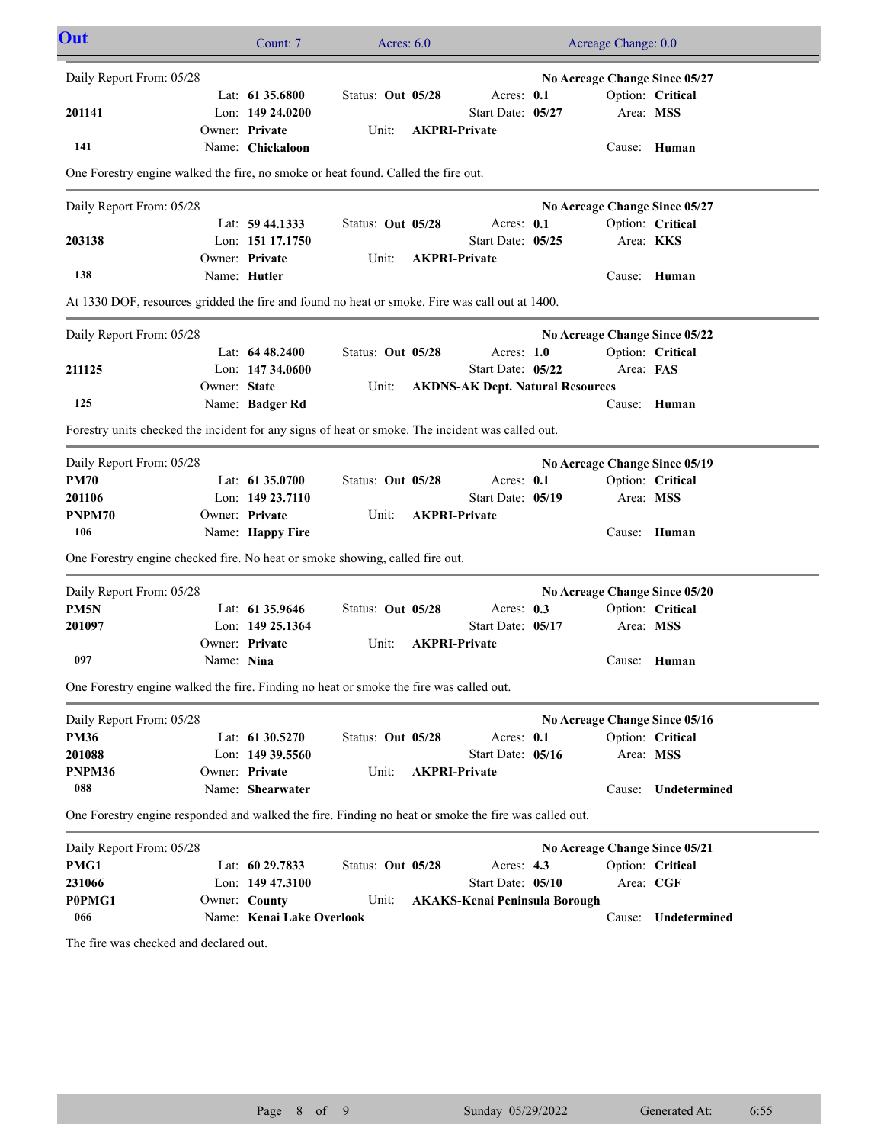| Out                                                                                                  |              | Count: 7                  | Acres: $6.0$      |                                         | Acreage Change: 0.0           |                     |
|------------------------------------------------------------------------------------------------------|--------------|---------------------------|-------------------|-----------------------------------------|-------------------------------|---------------------|
| Daily Report From: 05/28                                                                             |              |                           |                   |                                         | No Acreage Change Since 05/27 |                     |
|                                                                                                      |              | Lat: $61\,35.6800$        | Status: Out 05/28 | Acres: 0.1                              |                               | Option: Critical    |
| 201141                                                                                               |              | Lon: $14924.0200$         |                   | Start Date: 05/27                       | Area: MSS                     |                     |
|                                                                                                      |              | Owner: Private            | Unit:             | <b>AKPRI-Private</b>                    |                               |                     |
| 141                                                                                                  |              | Name: Chickaloon          |                   |                                         |                               | Cause: Human        |
| One Forestry engine walked the fire, no smoke or heat found. Called the fire out.                    |              |                           |                   |                                         |                               |                     |
| Daily Report From: 05/28                                                                             |              |                           |                   |                                         | No Acreage Change Since 05/27 |                     |
|                                                                                                      |              | Lat: 59 44.1333           | Status: Out 05/28 | Acres: 0.1                              |                               | Option: Critical    |
| 203138                                                                                               |              | Lon: 151 17.1750          |                   | Start Date: 05/25                       | Area: KKS                     |                     |
|                                                                                                      |              | Owner: Private            | Unit:             | <b>AKPRI-Private</b>                    |                               |                     |
| 138                                                                                                  |              | Name: Hutler              |                   |                                         |                               | Cause: Human        |
| At 1330 DOF, resources gridded the fire and found no heat or smoke. Fire was call out at 1400.       |              |                           |                   |                                         |                               |                     |
| Daily Report From: 05/28                                                                             |              |                           |                   |                                         | No Acreage Change Since 05/22 |                     |
|                                                                                                      |              | Lat: $6448.2400$          | Status: Out 05/28 | Acres: $1.0$                            |                               | Option: Critical    |
| 211125                                                                                               |              | Lon: $14734.0600$         |                   | Start Date: 05/22                       | Area: FAS                     |                     |
|                                                                                                      | Owner: State |                           | Unit:             | <b>AKDNS-AK Dept. Natural Resources</b> |                               |                     |
| 125                                                                                                  |              | Name: Badger Rd           |                   |                                         |                               | Cause: Human        |
| Forestry units checked the incident for any signs of heat or smoke. The incident was called out.     |              |                           |                   |                                         |                               |                     |
| Daily Report From: 05/28                                                                             |              |                           |                   |                                         | No Acreage Change Since 05/19 |                     |
| <b>PM70</b>                                                                                          |              | Lat: 61 35.0700           | Status: Out 05/28 | Acres: 0.1                              |                               | Option: Critical    |
| 201106                                                                                               |              | Lon: 149 23.7110          |                   | Start Date: 05/19                       | Area: MSS                     |                     |
| PNPM70                                                                                               |              | Owner: Private            | Unit:             | <b>AKPRI-Private</b>                    |                               |                     |
| 106                                                                                                  |              | Name: Happy Fire          |                   |                                         | Cause:                        | Human               |
| One Forestry engine checked fire. No heat or smoke showing, called fire out.                         |              |                           |                   |                                         |                               |                     |
| Daily Report From: 05/28                                                                             |              |                           |                   |                                         | No Acreage Change Since 05/20 |                     |
| PM <sub>5N</sub>                                                                                     |              | Lat: 61 35.9646           | Status: Out 05/28 | Acres: $0.3$                            |                               | Option: Critical    |
| 201097                                                                                               |              | Lon: 149 25.1364          |                   | Start Date: 05/17                       | Area: MSS                     |                     |
|                                                                                                      |              | Owner: Private            | Unit:             | <b>AKPRI-Private</b>                    |                               |                     |
| 097                                                                                                  | Name: Nina   |                           |                   |                                         |                               | Cause: Human        |
| One Forestry engine walked the fire. Finding no heat or smoke the fire was called out.               |              |                           |                   |                                         |                               |                     |
| Daily Report From: 05/28                                                                             |              |                           |                   |                                         | No Acreage Change Since 05/16 |                     |
| <b>PM36</b>                                                                                          |              | Lat: 61 30.5270           | Status: Out 05/28 | Acres: 0.1                              |                               | Option: Critical    |
| 201088                                                                                               |              | Lon: 149 39.5560          |                   | Start Date: 05/16                       | Area: MSS                     |                     |
| PNPM36                                                                                               |              | Owner: Private            | Unit:             | <b>AKPRI-Private</b>                    |                               |                     |
| 088                                                                                                  |              | Name: Shearwater          |                   |                                         | Cause:                        | Undetermined        |
| One Forestry engine responded and walked the fire. Finding no heat or smoke the fire was called out. |              |                           |                   |                                         |                               |                     |
| Daily Report From: 05/28                                                                             |              |                           |                   |                                         | No Acreage Change Since 05/21 |                     |
| PMG1                                                                                                 |              | Lat: 60 29.7833           | Status: Out 05/28 | Acres: $4.3$                            |                               | Option: Critical    |
| 231066                                                                                               |              | Lon: 149 47.3100          |                   | Start Date: 05/10                       | Area: CGF                     |                     |
| P0PMG1                                                                                               |              | Owner: County             | Unit:             | <b>AKAKS-Kenai Peninsula Borough</b>    |                               |                     |
| 066                                                                                                  |              | Name: Kenai Lake Overlook |                   |                                         |                               | Cause: Undetermined |
| The fire was checked and declared out.                                                               |              |                           |                   |                                         |                               |                     |